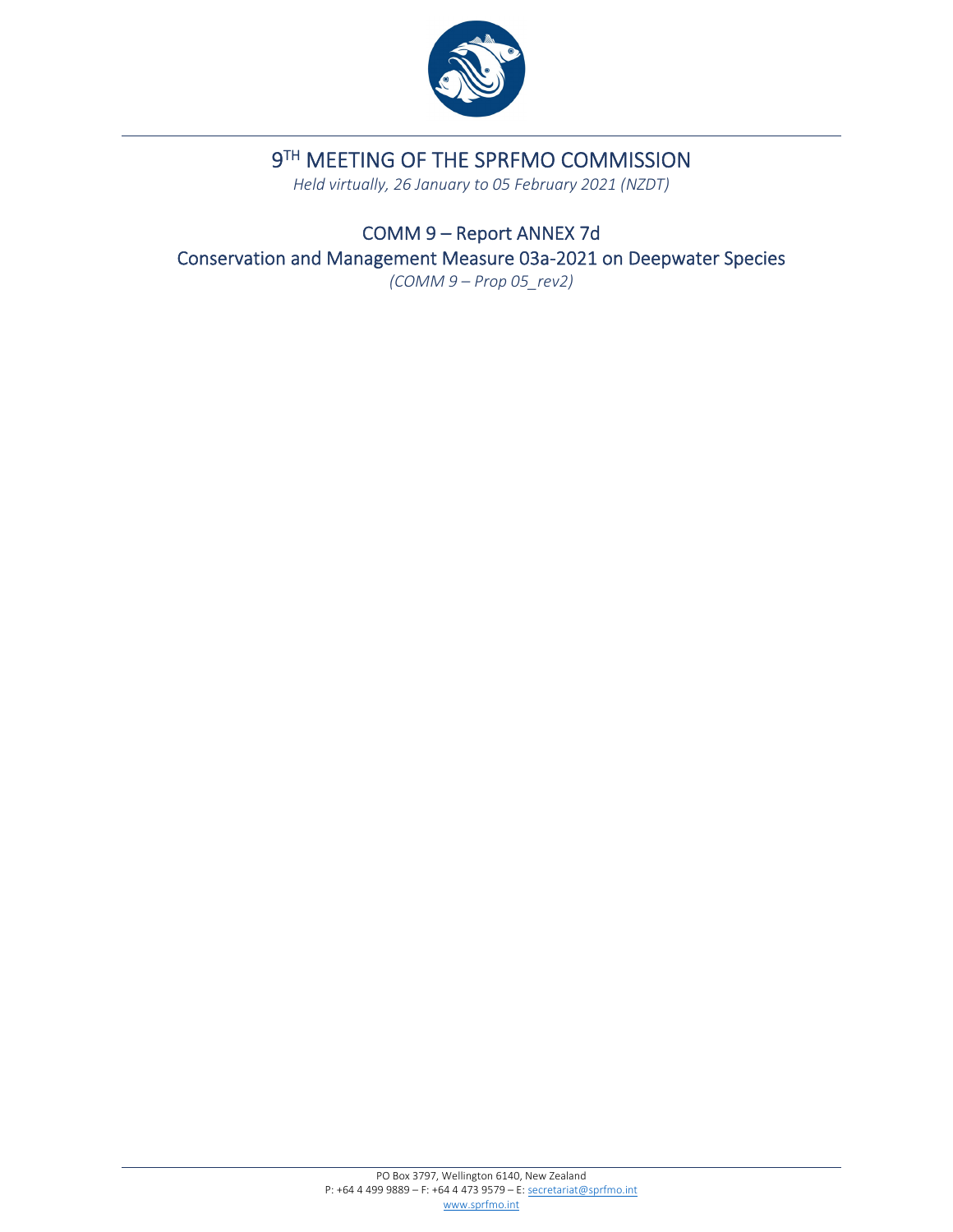

# 9TH MEETING OF THE SPRFMO COMMISSION

*Held virtually, 26 January to 05 February 2021 (NZDT)*

COMM 9 – Report ANNEX 7d Conservation and Management Measure 03a‐2021 on Deepwater Species *(COMM 9 – Prop 05\_rev2)*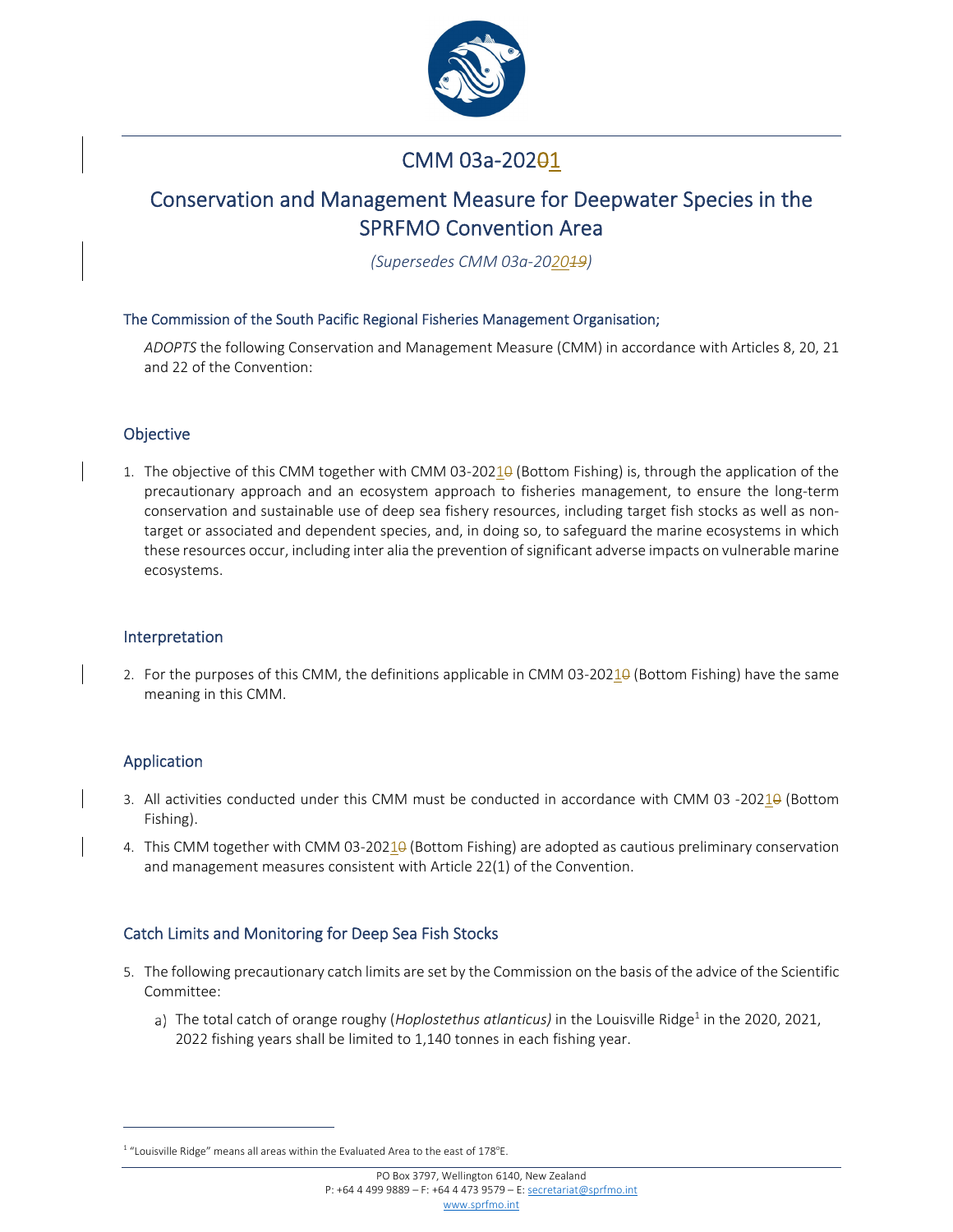

# CMM 03a-202<del>0</del>1

## Conservation and Management Measure for Deepwater Species in the SPRFMO Convention Area

*(Supersedes CMM 03a‐202019)*

#### The Commission of the South Pacific Regional Fisheries Management Organisation;

*ADOPTS* the following Conservation and Management Measure (CMM) in accordance with Articles 8, 20, 21 and 22 of the Convention:

#### Objective

1. The objective of this CMM together with CMM 03-20210 (Bottom Fishing) is, through the application of the precautionary approach and an ecosystem approach to fisheries management, to ensure the long‐term conservation and sustainable use of deep sea fishery resources, including target fish stocks as well as non‐ target or associated and dependent species, and, in doing so, to safeguard the marine ecosystems in which these resources occur, including inter alia the prevention of significant adverse impacts on vulnerable marine ecosystems.

#### Interpretation

2. For the purposes of this CMM, the definitions applicable in CMM 03-20210 (Bottom Fishing) have the same meaning in this CMM.

## Application

- 3. All activities conducted under this CMM must be conducted in accordance with CMM 03 -20210 (Bottom Fishing).
- 4. This CMM together with CMM 03-20210 (Bottom Fishing) are adopted as cautious preliminary conservation and management measures consistent with Article 22(1) of the Convention.

## Catch Limits and Monitoring for Deep Sea Fish Stocks

- 5. The following precautionary catch limits are set by the Commission on the basis of the advice of the Scientific Committee:
	- a) The total catch of orange roughy (*Hoplostethus atlanticus*) in the Louisville Ridge<sup>1</sup> in the 2020, 2021, 2022 fishing years shall be limited to 1,140 tonnes in each fishing year.

 $1$  "Louisville Ridge" means all areas within the Evaluated Area to the east of 178 $^{\circ}$ E.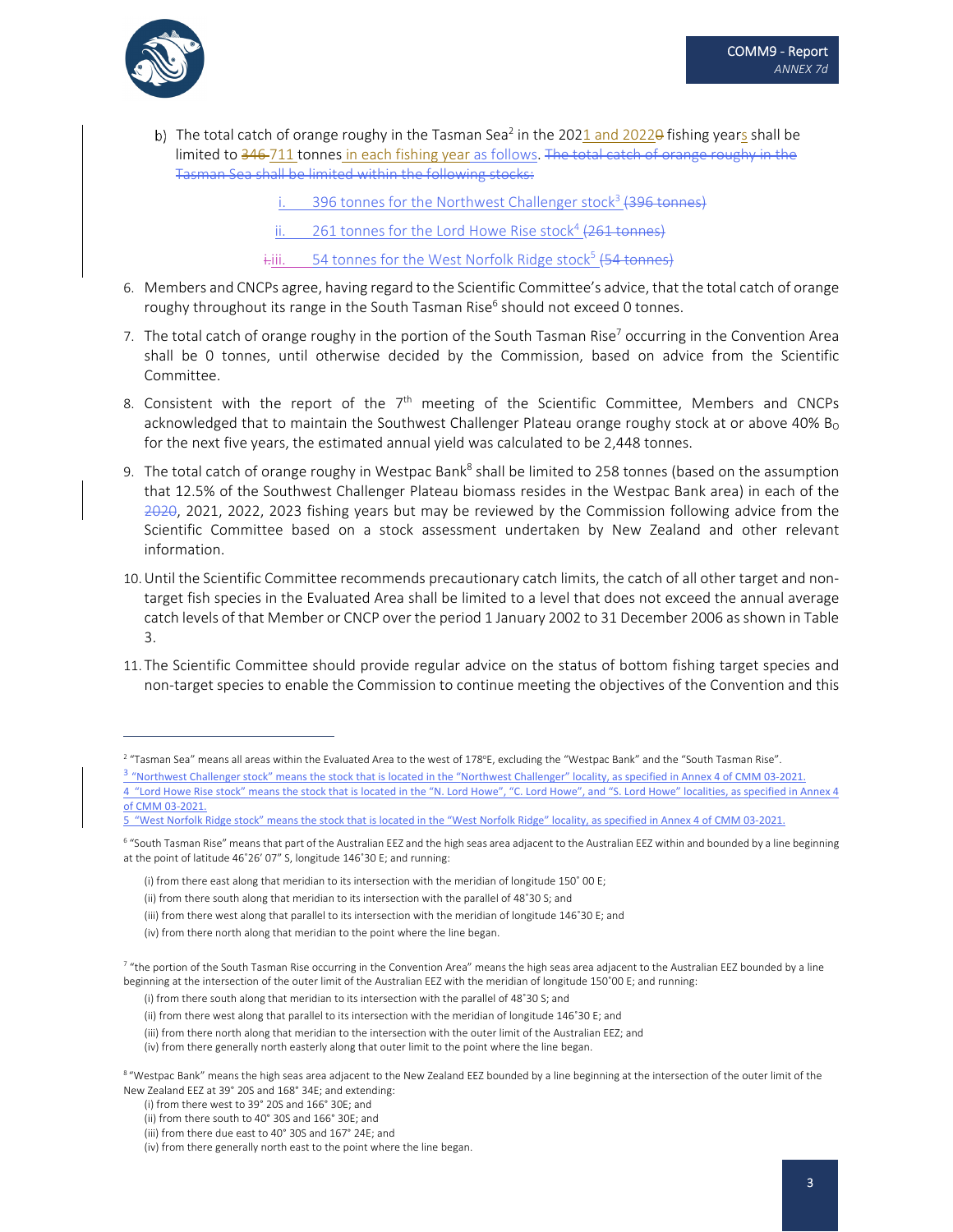

b) The total catch of orange roughy in the Tasman Sea<sup>2</sup> in the 2021 and 2022<del>0</del> fishing years shall be limited to 346-711 tonnes in each fishing year as follows. The total catch of orange roughy in the Tasman Sea shall be limited within the following stocks:

396 tonnes for the Northwest Challenger stock<sup>3</sup> (396 tonnes)

261 tonnes for the Lord Howe Rise stock<sup>4</sup> (261 tonnes)

iantility. 54 tonnes for the West Norfolk Ridge stock<sup>5</sup> (54 tonnes)

- 6. Members and CNCPs agree, having regard to the Scientific Committee's advice, that the total catch of orange roughy throughout its range in the South Tasman Rise<sup>6</sup> should not exceed 0 tonnes.
- 7. The total catch of orange roughy in the portion of the South Tasman Rise<sup>7</sup> occurring in the Convention Area shall be 0 tonnes, until otherwise decided by the Commission, based on advice from the Scientific Committee.
- 8. Consistent with the report of the  $7<sup>th</sup>$  meeting of the Scientific Committee, Members and CNCPs acknowledged that to maintain the Southwest Challenger Plateau orange roughy stock at or above 40%  $B_0$ for the next five years, the estimated annual yield was calculated to be 2,448 tonnes.
- 9. The total catch of orange roughy in Westpac Bank<sup>8</sup> shall be limited to 258 tonnes (based on the assumption that 12.5% of the Southwest Challenger Plateau biomass resides in the Westpac Bank area) in each of the 2020, 2021, 2022, 2023 fishing years but may be reviewed by the Commission following advice from the Scientific Committee based on a stock assessment undertaken by New Zealand and other relevant information.
- 10.Until the Scientific Committee recommends precautionary catch limits, the catch of all other target and non‐ target fish species in the Evaluated Area shall be limited to a level that does not exceed the annual average catch levels of that Member or CNCP over the period 1 January 2002 to 31 December 2006 as shown in Table 3.
- 11. The Scientific Committee should provide regular advice on the status of bottom fishing target species and non‐target species to enable the Commission to continue meeting the objectives of the Convention and this

 $^2$  "Tasman Sea" means all areas within the Evaluated Area to the west of 178°E, excluding the "Westpac Bank" and the "South Tasman Rise".

<sup>3 &</sup>quot;Northwest Challenger stock" means the stock that is located in the "Northwest Challenger" locality, as specified in Annex 4 of CMM 03-2021. 4 "Lord Howe Rise stock" means the stock that is located in the "N. Lord Howe", "C. Lord Howe", and "S. Lord Howe" localities, as specified in Annex 4 of CMM 03‐2021.

<sup>5 &</sup>quot;West Norfolk Ridge stock" means the stock that is located in the "West Norfolk Ridge" locality, as specified in Annex 4 of CMM 03-2021.

<sup>&</sup>lt;sup>6</sup> "South Tasman Rise" means that part of the Australian EEZ and the high seas area adjacent to the Australian EEZ within and bounded by a line beginning at the point of latitude 46˚26' 07" S, longitude 146˚30 E; and running:

<sup>(</sup>i) from there east along that meridian to its intersection with the meridian of longitude 150˚ 00 E;

<sup>(</sup>ii) from there south along that meridian to its intersection with the parallel of 48˚30 S; and

<sup>(</sup>iii) from there west along that parallel to its intersection with the meridian of longitude 146˚30 E; and

<sup>(</sup>iv) from there north along that meridian to the point where the line began.

<sup>&</sup>lt;sup>7</sup> "the portion of the South Tasman Rise occurring in the Convention Area" means the high seas area adjacent to the Australian EEZ bounded by a line beginning at the intersection of the outer limit of the Australian EEZ with the meridian of longitude 150˚00 E; and running:

<sup>(</sup>i) from there south along that meridian to its intersection with the parallel of 48˚30 S; and

<sup>(</sup>ii) from there west along that parallel to its intersection with the meridian of longitude 146˚30 E; and

<sup>(</sup>iii) from there north along that meridian to the intersection with the outer limit of the Australian EEZ; and

<sup>(</sup>iv) from there generally north easterly along that outer limit to the point where the line began.

<sup>8 &</sup>quot;Westpac Bank" means the high seas area adjacent to the New Zealand EEZ bounded by a line beginning at the intersection of the outer limit of the New Zealand EEZ at 39° 20S and 168° 34E; and extending:

<sup>(</sup>i) from there west to 39° 20S and 166° 30E; and

<sup>(</sup>ii) from there south to 40° 30S and 166° 30E; and

<sup>(</sup>iii) from there due east to 40° 30S and 167° 24E; and

<sup>(</sup>iv) from there generally north east to the point where the line began.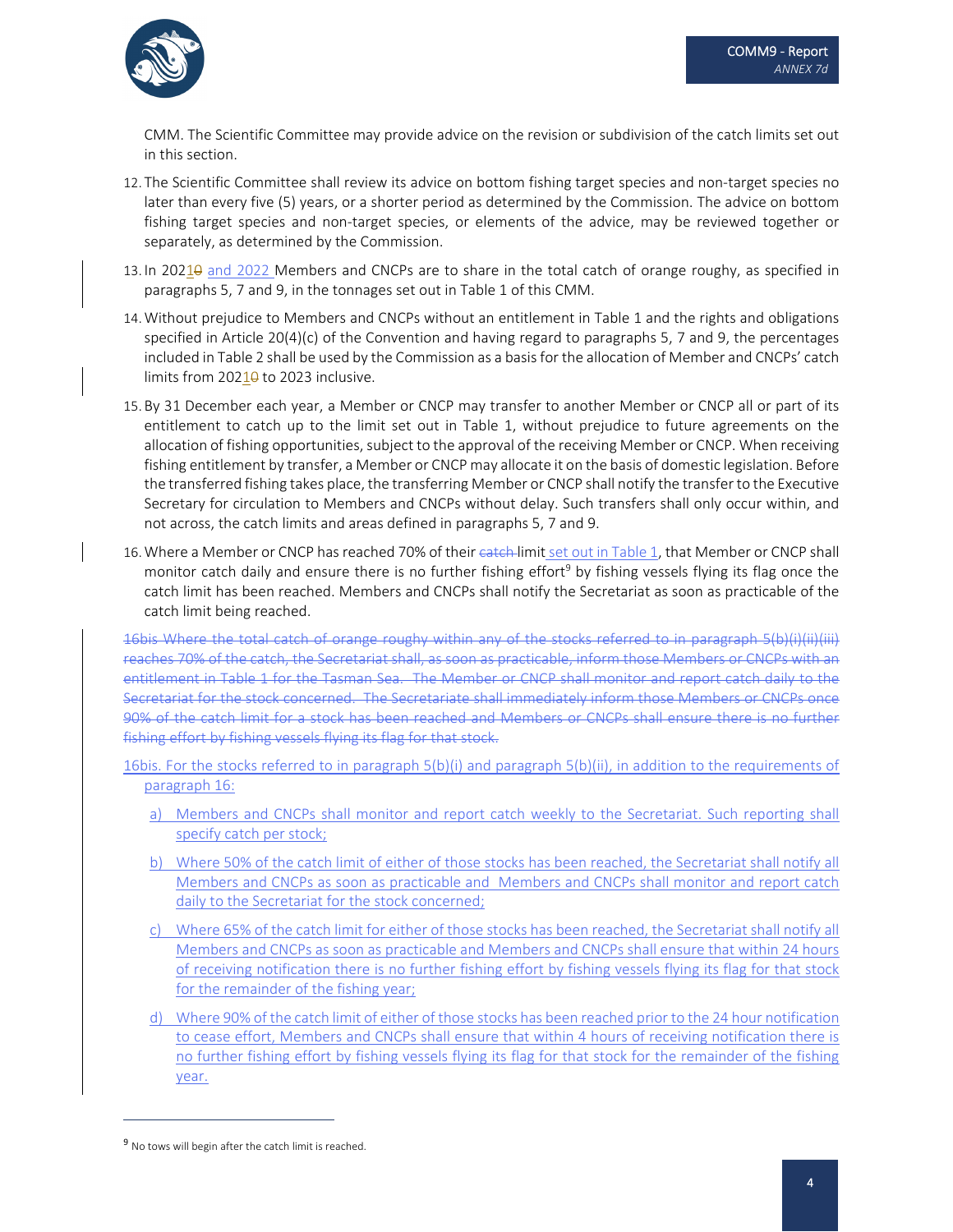

CMM. The Scientific Committee may provide advice on the revision or subdivision of the catch limits set out in this section.

- 12. The Scientific Committee shall review its advice on bottom fishing target species and non‐target species no later than every five (5) years, or a shorter period as determined by the Commission. The advice on bottom fishing target species and non-target species, or elements of the advice, may be reviewed together or separately, as determined by the Commission.
- 13. In 20210 and 2022 Members and CNCPs are to share in the total catch of orange roughy, as specified in paragraphs 5, 7 and 9, in the tonnages set out in Table 1 of this CMM.
- 14.Without prejudice to Members and CNCPs without an entitlement in Table 1 and the rights and obligations specified in Article 20(4)(c) of the Convention and having regard to paragraphs 5, 7 and 9, the percentages included in Table 2 shall be used by the Commission as a basis for the allocation of Member and CNCPs' catch limits from 2021<sup>0</sup> to 2023 inclusive.
- 15. By 31 December each year, a Member or CNCP may transfer to another Member or CNCP all or part of its entitlement to catch up to the limit set out in Table 1, without prejudice to future agreements on the allocation of fishing opportunities, subject to the approval of the receiving Member or CNCP. When receiving fishing entitlement by transfer, a Member or CNCP may allocate it on the basis of domestic legislation. Before the transferred fishing takes place, the transferring Member or CNCP shall notify the transferto the Executive Secretary for circulation to Members and CNCPs without delay. Such transfers shall only occur within, and not across, the catch limits and areas defined in paragraphs 5, 7 and 9.
- 16. Where a Member or CNCP has reached 70% of their eateh-limit set out in Table 1, that Member or CNCP shall monitor catch daily and ensure there is no further fishing effort<sup>9</sup> by fishing vessels flying its flag once the catch limit has been reached. Members and CNCPs shall notify the Secretariat as soon as practicable of the catch limit being reached.

16bis Where the total catch of orange roughy within any of the stocks referred to in paragraph 5(b)(i)(ii)(iii) reaches 70% of the catch, the Secretariat shall, as soon as practicable, inform those Members or CNCPs with an entitlement in Table 1 for the Tasman Sea. The Member or CNCP shall monitor and report catch daily to the Secretariat for the stock concerned. The Secretariate shall immediately inform those Members or CNCPs once 90% of the catch limit for a stock has been reached and Members or CNCPs shall ensure there is no further fishing effort by fishing vessels flying its flag for that stock.

- 16bis. For the stocks referred to in paragraph 5(b)(i) and paragraph 5(b)(ii), in addition to the requirements of paragraph 16:
	- a) Members and CNCPs shall monitor and report catch weekly to the Secretariat. Such reporting shall specify catch per stock;
	- b) Where 50% of the catch limit of either of those stocks has been reached, the Secretariat shall notify all Members and CNCPs as soon as practicable and Members and CNCPs shall monitor and report catch daily to the Secretariat for the stock concerned;
	- c) Where 65% of the catch limit for either of those stocks has been reached, the Secretariat shall notify all Members and CNCPs as soon as practicable and Members and CNCPs shall ensure that within 24 hours of receiving notification there is no further fishing effort by fishing vessels flying its flag for that stock for the remainder of the fishing year;
	- d) Where 90% of the catch limit of either of those stocks has been reached prior to the 24 hour notification to cease effort, Members and CNCPs shall ensure that within 4 hours of receiving notification there is no further fishing effort by fishing vessels flying its flag for that stock for the remainder of the fishing year.

<sup>&</sup>lt;sup>9</sup> No tows will begin after the catch limit is reached.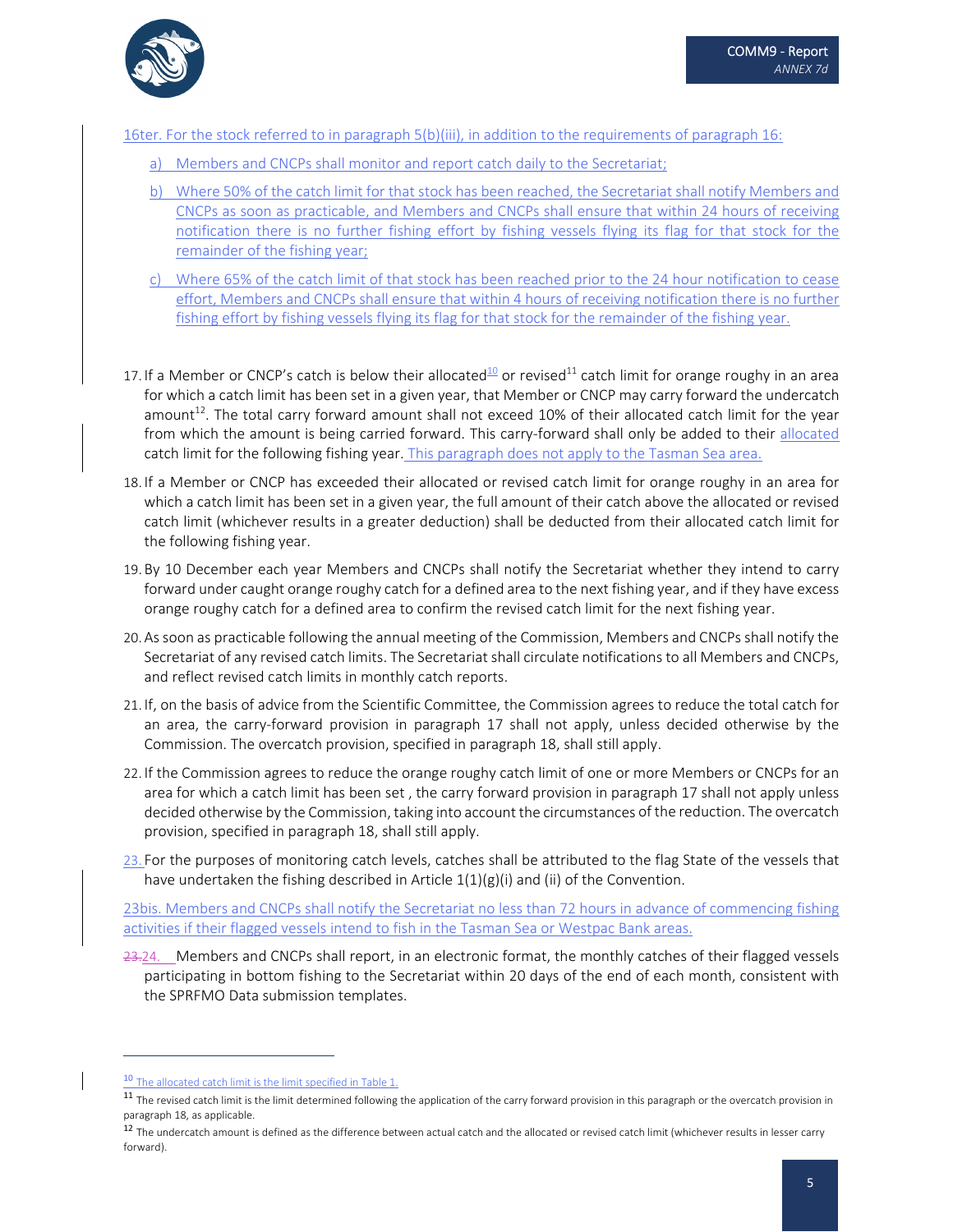

16ter. For the stock referred to in paragraph 5(b)(iii), in addition to the requirements of paragraph 16:

- a) Members and CNCPs shall monitor and report catch daily to the Secretariat;
- b) Where 50% of the catch limit for that stock has been reached, the Secretariat shall notify Members and CNCPs as soon as practicable, and Members and CNCPs shall ensure that within 24 hours of receiving notification there is no further fishing effort by fishing vessels flying its flag for that stock for the remainder of the fishing year;
- c) Where 65% of the catch limit of that stock has been reached prior to the 24 hour notification to cease effort, Members and CNCPs shall ensure that within 4 hours of receiving notification there is no further fishing effort by fishing vessels flying its flag for that stock for the remainder of the fishing year.
- 17. If a Member or CNCP's catch is below their allocated<sup>10</sup> or revised<sup>11</sup> catch limit for orange roughy in an area for which a catch limit has been set in a given year, that Member or CNCP may carry forward the undercatch amount<sup>12</sup>. The total carry forward amount shall not exceed 10% of their allocated catch limit for the year from which the amount is being carried forward. This carry-forward shall only be added to their allocated catch limit for the following fishing year. This paragraph does not apply to the Tasman Sea area.
- 18. If a Member or CNCP has exceeded their allocated or revised catch limit for orange roughy in an area for which a catch limit has been set in a given year, the full amount of their catch above the allocated or revised catch limit (whichever results in a greater deduction) shall be deducted from their allocated catch limit for the following fishing year.
- 19. By 10 December each year Members and CNCPs shall notify the Secretariat whether they intend to carry forward under caught orange roughy catch for a defined area to the next fishing year, and if they have excess orange roughy catch for a defined area to confirm the revised catch limit for the next fishing year.
- 20. Assoon as practicable following the annual meeting of the Commission, Members and CNCPs shall notify the Secretariat of any revised catch limits. The Secretariat shall circulate notifications to all Members and CNCPs, and reflect revised catch limits in monthly catch reports.
- 21. If, on the basis of advice from the Scientific Committee, the Commission agrees to reduce the total catch for an area, the carry‐forward provision in paragraph 17 shall not apply, unless decided otherwise by the Commission. The overcatch provision, specified in paragraph 18, shall still apply.
- 22. If the Commission agrees to reduce the orange roughy catch limit of one or more Members or CNCPs for an area for which a catch limit has been set , the carry forward provision in paragraph 17 shall not apply unless decided otherwise by the Commission, taking into account the circumstances of the reduction. The overcatch provision, specified in paragraph 18, shall still apply.
- 23. For the purposes of monitoring catch levels, catches shall be attributed to the flag State of the vessels that have undertaken the fishing described in Article  $1(1)(g)(i)$  and (ii) of the Convention.

23bis. Members and CNCPs shall notify the Secretariat no less than 72 hours in advance of commencing fishing activities if their flagged vessels intend to fish in the Tasman Sea or Westpac Bank areas.

23.24. Members and CNCPs shall report, in an electronic format, the monthly catches of their flagged vessels participating in bottom fishing to the Secretariat within 20 days of the end of each month, consistent with the SPRFMO Data submission templates.

 $10$  The allocated catch limit is the limit specified in Table 1.

<sup>&</sup>lt;sup>11</sup> The revised catch limit is the limit determined following the application of the carry forward provision in this paragraph or the overcatch provision in paragraph 18, as applicable.

 $^{12}$  The undercatch amount is defined as the difference between actual catch and the allocated or revised catch limit (whichever results in lesser carry forward).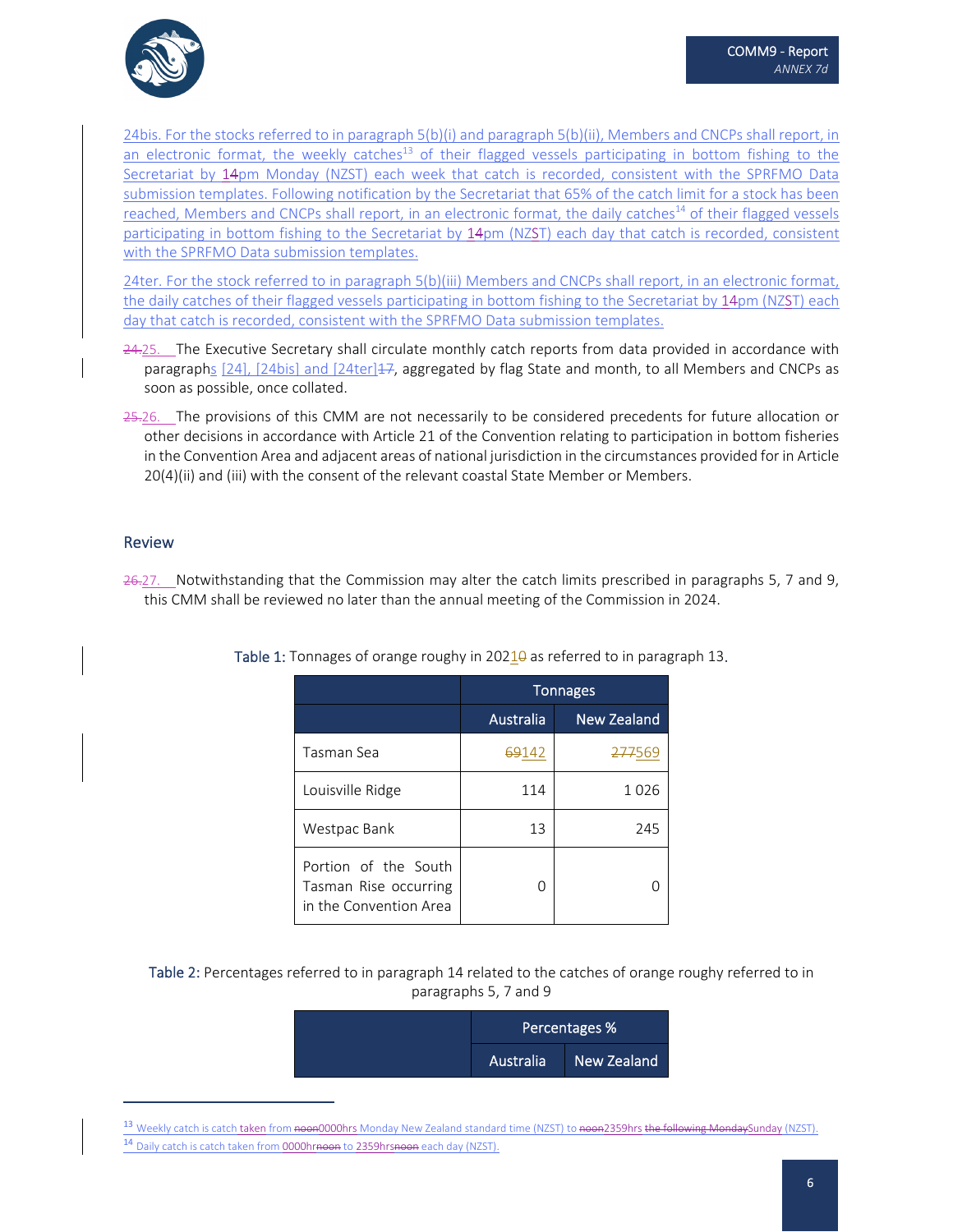

24bis. For the stocks referred to in paragraph 5(b)(i) and paragraph 5(b)(ii), Members and CNCPs shall report, in an electronic format, the weekly catches<sup>13</sup> of their flagged vessels participating in bottom fishing to the Secretariat by 14pm Monday (NZST) each week that catch is recorded, consistent with the SPRFMO Data submission templates. Following notification by the Secretariat that 65% of the catch limit for a stock has been reached, Members and CNCPs shall report, in an electronic format, the daily catches<sup>14</sup> of their flagged vessels participating in bottom fishing to the Secretariat by 14pm (NZST) each day that catch is recorded, consistent with the SPRFMO Data submission templates.

24ter. For the stock referred to in paragraph 5(b)(iii) Members and CNCPs shall report, in an electronic format, the daily catches of their flagged vessels participating in bottom fishing to the Secretariat by 14pm (NZST) each day that catch is recorded, consistent with the SPRFMO Data submission templates.

- 24.25. The Executive Secretary shall circulate monthly catch reports from data provided in accordance with paragraphs [24], [24bis] and [24ter] $\pm$ 7, aggregated by flag State and month, to all Members and CNCPs as soon as possible, once collated.
- 25.26. The provisions of this CMM are not necessarily to be considered precedents for future allocation or other decisions in accordance with Article 21 of the Convention relating to participation in bottom fisheries in the Convention Area and adjacent areas of national jurisdiction in the circumstances provided for in Article 20(4)(ii) and (iii) with the consent of the relevant coastal State Member or Members.

#### Review

26.27. Notwithstanding that the Commission may alter the catch limits prescribed in paragraphs 5, 7 and 9, this CMM shall be reviewed no later than the annual meeting of the Commission in 2024.

|                                                                         | <b>Tonnages</b> |                    |
|-------------------------------------------------------------------------|-----------------|--------------------|
|                                                                         | Australia       | <b>New Zealand</b> |
| Tasman Sea                                                              | 69142           | <del>277</del> 569 |
| Louisville Ridge                                                        | 114             | 1026               |
| Westpac Bank                                                            | 13              | 245                |
| Portion of the South<br>Tasman Rise occurring<br>in the Convention Area |                 |                    |

Table 1: Tonnages of orange roughy in 2021<del>0</del> as referred to in paragraph 13.

Table 2: Percentages referred to in paragraph 14 related to the catches of orange roughy referred to in paragraphs 5, 7 and 9

| Percentages % |                    |
|---------------|--------------------|
| Australia     | <b>New Zealand</b> |

<sup>13</sup> Weekly catch is catch taken from <del>noon</del>0000hrs Monday New Zealand standard time (NZST) to <del>noon</del>2359hrs <del>the following Monday</del>Sunday (NZST). 14 Daily catch is catch taken from 0000hrnoon to 2359hrsnoon each day (NZST).